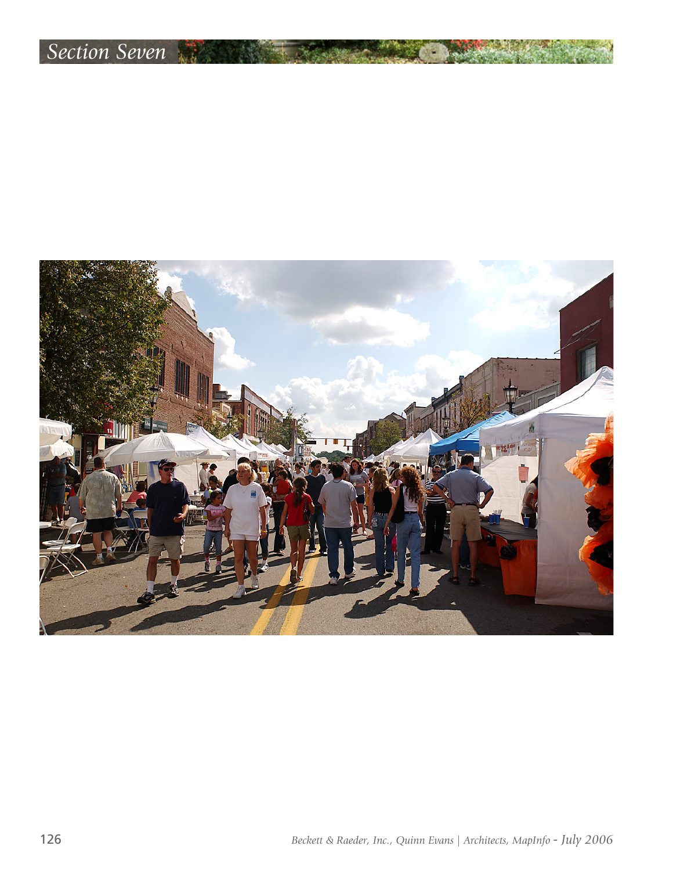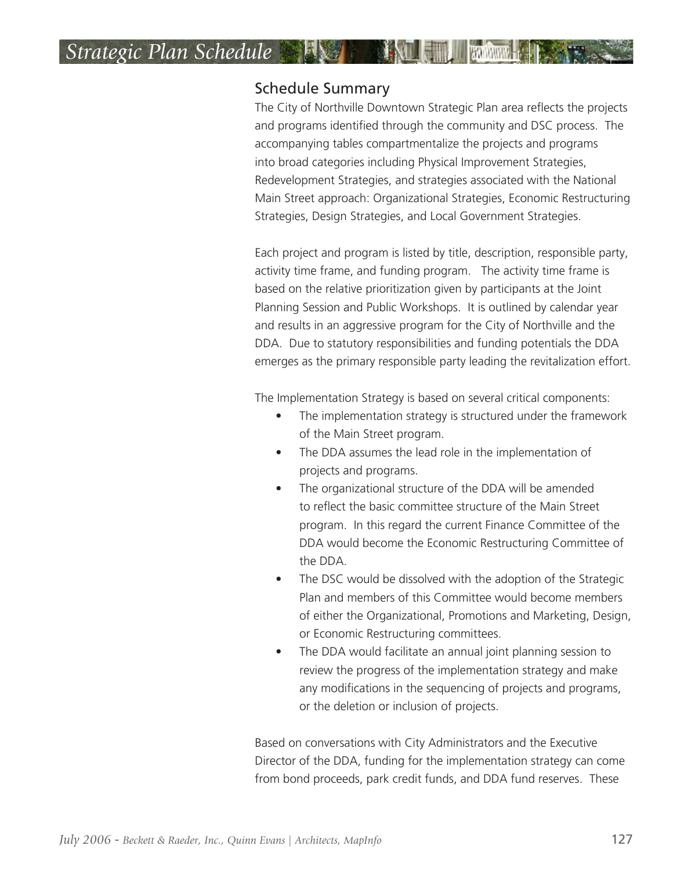# *Strategic Plan Schedule*

#### Schedule Summary

The City of Northville Downtown Strategic Plan area reflects the projects and programs identified through the community and DSC process. The accompanying tables compartmentalize the projects and programs into broad categories including Physical Improvement Strategies, Redevelopment Strategies, and strategies associated with the National Main Street approach: Organizational Strategies, Economic Restructuring Strategies, Design Strategies, and Local Government Strategies.

Each project and program is listed by title, description, responsible party, activity time frame, and funding program. The activity time frame is based on the relative prioritization given by participants at the Joint Planning Session and Public Workshops. It is outlined by calendar year and results in an aggressive program for the City of Northville and the DDA. Due to statutory responsibilities and funding potentials the DDA emerges as the primary responsible party leading the revitalization effort.

The Implementation Strategy is based on several critical components:

- The implementation strategy is structured under the framework of the Main Street program.
- The DDA assumes the lead role in the implementation of projects and programs.
- The organizational structure of the DDA will be amended to reflect the basic committee structure of the Main Street program. In this regard the current Finance Committee of the DDA would become the Economic Restructuring Committee of the DDA.
- The DSC would be dissolved with the adoption of the Strategic Plan and members of this Committee would become members of either the Organizational, Promotions and Marketing, Design, or Economic Restructuring committees.
- The DDA would facilitate an annual joint planning session to review the progress of the implementation strategy and make any modifications in the sequencing of projects and programs, or the deletion or inclusion of projects.

Based on conversations with City Administrators and the Executive Director of the DDA, funding for the implementation strategy can come from bond proceeds, park credit funds, and DDA fund reserves. These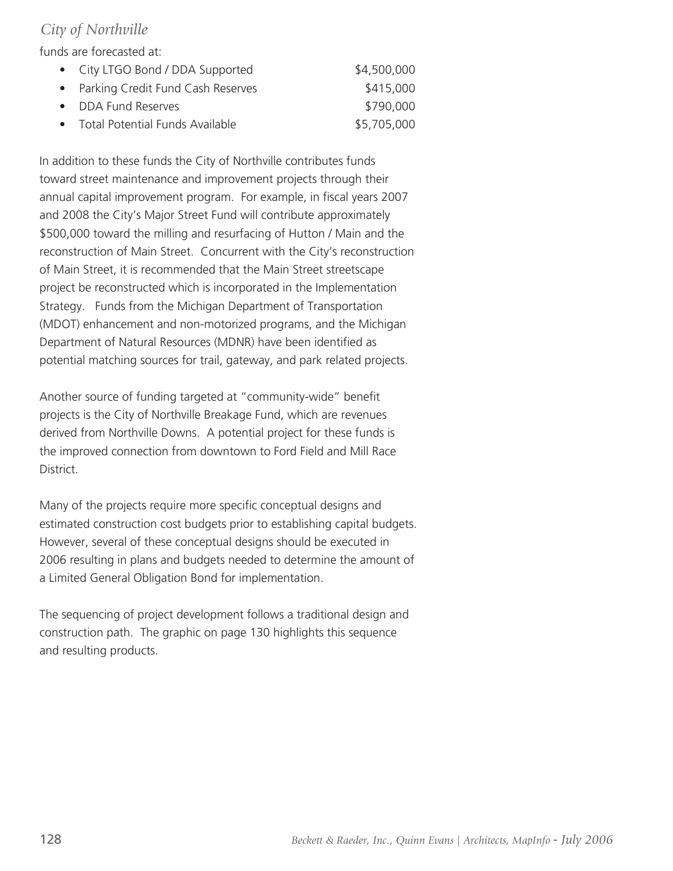#### *City of Northville*

funds are forecasted at:

| • City LTGO Bond / DDA Supported    | \$4,500,000 |
|-------------------------------------|-------------|
| • Parking Credit Fund Cash Reserves | \$415,000   |
| • DDA Fund Reserves                 | \$790,000   |
| • Total Potential Funds Available   | \$5,705,000 |

In addition to these funds the City of Northville contributes funds toward street maintenance and improvement projects through their annual capital improvement program. For example, in fiscal years 2007 and 2008 the City's Major Street Fund will contribute approximately \$500,000 toward the milling and resurfacing of Hutton / Main and the reconstruction of Main Street. Concurrent with the City's reconstruction of Main Street, it is recommended that the Main Street streetscape project be reconstructed which is incorporated in the Implementation Strategy. Funds from the Michigan Department of Transportation (MDOT) enhancement and non-motorized programs, and the Michigan Department of Natural Resources (MDNR) have been identified as potential matching sources for trail, gateway, and park related projects.

Another source of funding targeted at "community-wide" benefit projects is the City of Northville Breakage Fund, which are revenues derived from Northville Downs. A potential project for these funds is the improved connection from downtown to Ford Field and Mill Race District.

Many of the projects require more specific conceptual designs and estimated construction cost budgets prior to establishing capital budgets. However, several of these conceptual designs should be executed in 2006 resulting in plans and budgets needed to determine the amount of a Limited General Obligation Bond for implementation.

The sequencing of project development follows a traditional design and construction path. The graphic on page 130 highlights this sequence and resulting products.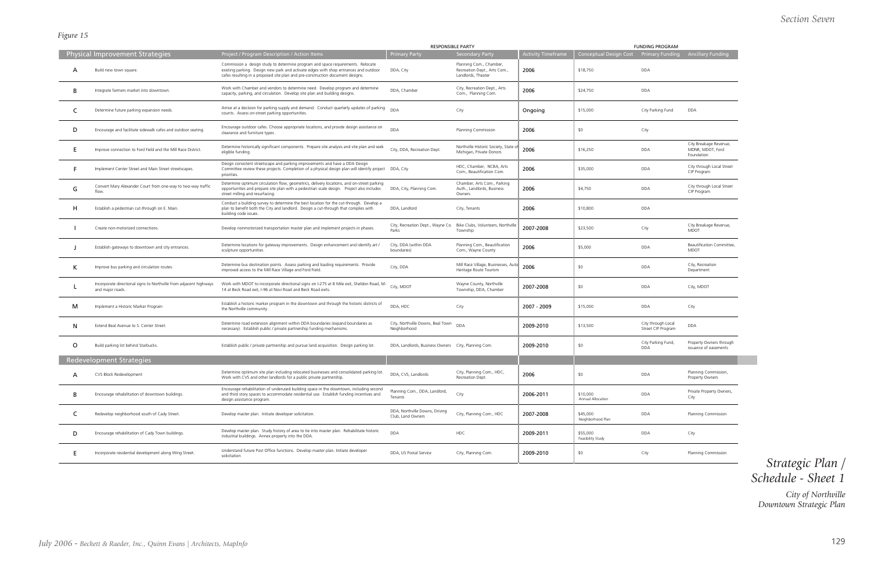#### *Section Seven*

## *Strategic Plan / Schedule - Sheet 1*

#### *Figure 15*

|         |                                                                                        |                                                                                                                                                                                                                                                           | <b>RESPONSIBLE PARTY</b>                            |                                                                               |                           | <b>FUNDING PROGRAM</b>                 |                                          |                                                          |
|---------|----------------------------------------------------------------------------------------|-----------------------------------------------------------------------------------------------------------------------------------------------------------------------------------------------------------------------------------------------------------|-----------------------------------------------------|-------------------------------------------------------------------------------|---------------------------|----------------------------------------|------------------------------------------|----------------------------------------------------------|
|         | <b>Physical Improvement Strategies</b>                                                 | Project / Program Description / Action Items                                                                                                                                                                                                              | <b>Primary Party</b>                                | <b>Secondary Party</b>                                                        | <b>Activity Timeframe</b> | Conceptual Design Cost Primary Funding |                                          | Ancillary Funding                                        |
| А       | Build new town square.                                                                 | Commission a design study to determine program and space requirements. Relocate<br>existing parking. Design new park and activate edges with shop entrances and outdoor<br>cafes resulting in a proposed site plan and pre-construction document designs. | DDA, City                                           | Planning Com., Chamber,<br>Recreation Dept., Arts Com.,<br>Landlords, Theater | 2006                      | \$18,750                               | <b>DDA</b>                               |                                                          |
| В       | Integrate farmers market into downtown.                                                | Work with Chamber and vendors to determine need. Develop program and determine<br>capacity, parking, and circulation. Develop site plan and building designs.                                                                                             | DDA, Chamber                                        | City, Recreation Dept., Arts.<br>Com., Planning Com.                          | 2006                      | \$24,750                               | <b>DDA</b>                               |                                                          |
| C       | Determine future parking expansion needs.                                              | Arrive at a decision for parking supply and demand. Conduct quarterly updates of parking<br>counts. Assess on-street parking opportunities.                                                                                                               | <b>DDA</b>                                          | City                                                                          | Ongoing                   | \$15,000                               | City Parking Fund                        | <b>DDA</b>                                               |
| D       | Encourage and facilitate sidewalk cafes and outdoor seating.                           | Encourage outdoor cafes. Choose appropriate locations, and provde design assistance on<br>clearance and furniture types.                                                                                                                                  | <b>DDA</b>                                          | Planning Commission                                                           | 2006                      | \$0                                    | City                                     |                                                          |
|         | Improve connection to Ford Field and the Mill Race District.                           | Determine historically significant components. Prepare site analysis and site plan and seek<br>eligible funding.                                                                                                                                          | City, DDA, Recreation Dept.                         | Northville Historic Society, State o<br>Michigan, Private Donors              | 2006                      | \$16,250                               | DDA                                      | City Breakage Revenue,<br>MDNR, MDOT, Ford<br>Foundation |
|         | Implement Center Street and Main Street streetscapes.                                  | Design consistent streetscape and parking improvements and have a DDA Design<br>Committee review these projects. Completion of a physical design plan will identify project<br>priorities.                                                                | DDA, City                                           | HDC, Chamber, NCBA, Arts<br>Com., Beautification Com.                         | 2006                      | \$35,000                               | DDA                                      | City through Local Street<br>CIP Program                 |
| G       | Convert Mary Alexander Court from one-way to two-way traffic<br>flow.                  | Determine optimum circulation flow, geometrics, delivery locations, and on-street parking<br>opportunities and prepare site plan with a pedestrian scale design. Project also includes<br>street milling and resurfacing.                                 | DDA, City, Planning Com.                            | Chamber, Arts Com., Parking<br>Auth., Landlords, Business<br>Owners           | 2006                      | \$4,750                                | <b>DDA</b>                               | City through Local Street<br>CIP Program                 |
| н       | Establish a pedestrian cut-through on E. Main.                                         | Conduct a building survey to determine the best location for the cut-through. Develop a<br>plan to benefit both the City and landlord. Design a cut-through that complies with<br>building code issues.                                                   | DDA, Landlord                                       | City, Tenants                                                                 | 2006                      | \$10,800                               | <b>DDA</b>                               |                                                          |
|         | Create non-motorized connections.                                                      | Develop nonmotorized transportation master plan and implement projects in phases.                                                                                                                                                                         | City, Recreation Dept., Wayne Co.<br>Parks          | Bike Clubs, Volunteers, Northville<br>Township                                | 2007-2008                 | \$23,500                               | City                                     | City Breakage Revenue,<br>MDOT                           |
|         | Establish gateways to downtown and city entrances.                                     | Determine locations for gateway improvements. Design enhancement and identify art /<br>sculpture opportunities.                                                                                                                                           | City, DDA (within DDA<br>boundaries)                | Planning Com., Beautification<br>Com., Wayne County                           | 2006                      | \$5,000                                | <b>DDA</b>                               | Beautification Committee,<br><b>MDOT</b>                 |
| ĸ       | Improve bus parking and circulation routes.                                            | Determine bus destination points. Assess parking and loading requirements. Provide<br>improved access to the Mill Race Village and Ford Field.                                                                                                            | City, DDA                                           | Mill Race Village, Businesses, Auto<br>Heritage Route Tourism                 | 2006                      | \$0                                    | <b>DDA</b>                               | City, Recreation<br>Department                           |
|         | Incorporate directional signs to Northville from adjacent highways<br>and major roads. | Work with MDOT to incorporate directional signs on I-275 at 8 Mile exit, Sheldon Road, M-<br>14 at Beck Road exit, I-96 at Novi Road and Beck Road exits.                                                                                                 | City, MDOT                                          | Wayne County, Northville<br>Township, DDA, Chamber                            | 2007-2008                 | \$0                                    | <b>DDA</b>                               | City, MDOT                                               |
| м       | Implement a Historic Marker Program                                                    | Establish a historic marker program in the downtown and through the historic districts of<br>the Northville community.                                                                                                                                    | DDA, HDC                                            | City                                                                          | 2007 - 2009               | \$15,000                               | <b>DDA</b>                               | City                                                     |
| N       | Extend Beal Avenue to S. Center Street.                                                | Determine road extension alignment within DDA boundaries (expand boundaries as<br>necessary). Establish public / private partnership funding mechanisms.                                                                                                  | City, Northville Downs, Beal Town<br>Neighborhood   | <b>DDA</b>                                                                    | 2009-2010                 | \$13,500                               | City through Local<br>Street CIP Program | <b>DDA</b>                                               |
| $\circ$ | Build parking lot behind Starbucks.                                                    | Establish public / private partnership and pursue land acquisition. Design parking lot.                                                                                                                                                                   | DDA, Landlords, Business Owners City, Planning Com. |                                                                               | 2009-2010                 | \$0                                    | City Parking Fund,<br><b>DDA</b>         | Property Owners through<br>issuance of easements         |
|         | <b>Redevelopment Strategies</b>                                                        |                                                                                                                                                                                                                                                           |                                                     |                                                                               |                           |                                        |                                          |                                                          |
| A       | CVS Block Redevelopment                                                                | Determine optimum site plan including relocated businesses and consolidated parking lot.<br>Work with CVS and other landlords for a public private partnership.                                                                                           | DDA, CVS, Landlords                                 | City, Planning Com., HDC,<br>Recreation Dept.                                 | 2006                      | \$0                                    | DDA                                      | Planning Commission,<br>Property Owners                  |
| В       | Encourage rehabilitation of downtown buildings.                                        | Encourage rehabilitation of underused building space in the downtown, including second<br>and third story spaces to accommodate residential use. Establish funding incentives and<br>design assistance program.                                           | Planning Com., DDA, Landlord,<br>Tenants            | City                                                                          | 2006-2011                 | \$10,000<br>Annual Allocation          | DDA                                      | Private Property Owners,<br>City                         |
| C       | Redevelop neighborhood south of Cady Street.                                           | Develop master plan. Initiate developer solicitation.                                                                                                                                                                                                     | DDA, Northville Downs, Driving<br>Club, Land Owners | City, Planning Com., HDC                                                      | 2007-2008                 | \$45,000<br>Neighborhood Plan          | DDA                                      | Planning Commission                                      |
| D       | Encourage rehabilitation of Cady Town buildings.                                       | Develop master plan. Study history of area to tie into master plan. Rehabilitate historic<br>industrial buildings. Annex property into the DDA.                                                                                                           | <b>DDA</b>                                          | <b>HDC</b>                                                                    | 2009-2011                 | \$55,000<br>Feasibility Study          | DDA                                      | City                                                     |
|         | Incorporate residential development along Wing Street.                                 | Understand future Post Office functions. Develop master plan. Initiate developer<br>solicitation                                                                                                                                                          | DDA, US Postal Service                              | City, Planning Com.                                                           | 2009-2010                 | \$0                                    | City                                     | Planning Commission                                      |

*City of Northville Downtown Strategic Plan*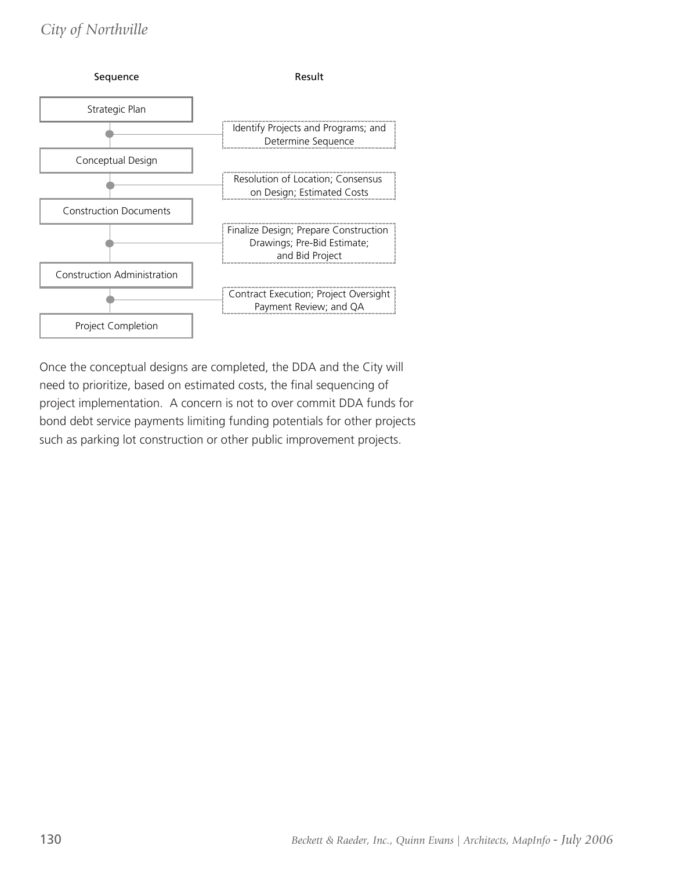### *City of Northville*



Once the conceptual designs are completed, the DDA and the City will need to prioritize, based on estimated costs, the final sequencing of project implementation. A concern is not to over commit DDA funds for bond debt service payments limiting funding potentials for other projects such as parking lot construction or other public improvement projects.